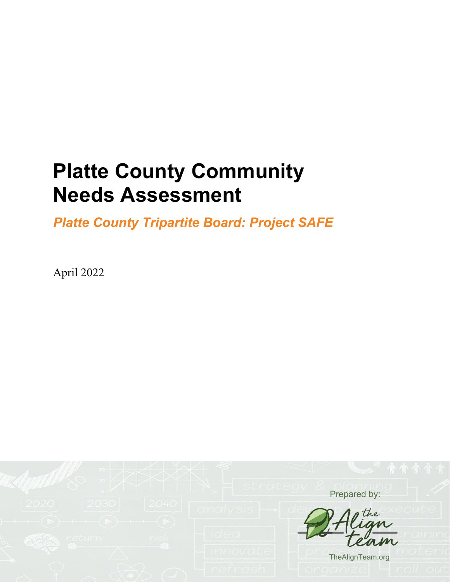# **Platte County Community Needs Assessment**

*Platte County Tripartite Board: Project SAFE*

April 2022

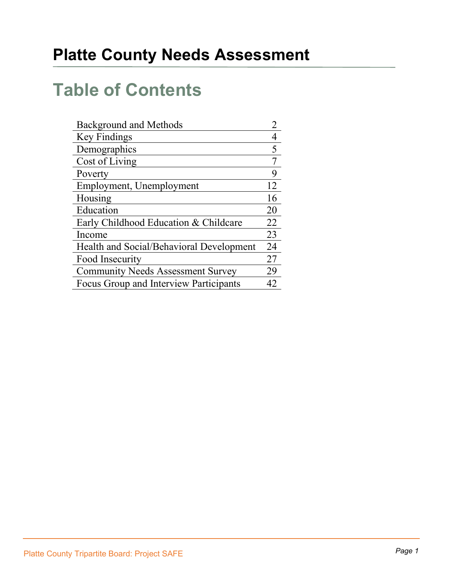# **Table of Contents**

| <b>Background and Methods</b>            |    |
|------------------------------------------|----|
| Key Findings                             |    |
| Demographics                             | 5  |
| Cost of Living                           |    |
| Poverty                                  | 9  |
| Employment, Unemployment                 | 12 |
| Housing                                  | 16 |
| Education                                | 20 |
| Early Childhood Education & Childcare    | 22 |
| Income                                   | 23 |
| Health and Social/Behavioral Development | 24 |
| Food Insecurity                          | 27 |
| <b>Community Needs Assessment Survey</b> | 29 |
| Focus Group and Interview Participants   | 42 |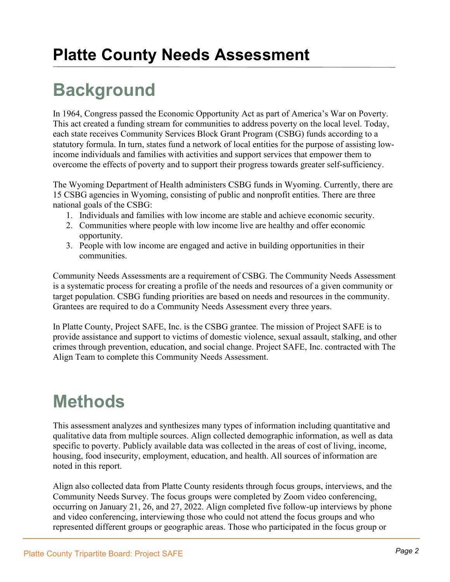# **Background**

In 1964, Congress passed the Economic Opportunity Act as part of America's War on Poverty. This act created a funding stream for communities to address poverty on the local level. Today, each state receives Community Services Block Grant Program (CSBG) funds according to a statutory formula. In turn, states fund a network of local entities for the purpose of assisting lowincome individuals and families with activities and support services that empower them to overcome the effects of poverty and to support their progress towards greater self-sufficiency.

The Wyoming Department of Health administers CSBG funds in Wyoming. Currently, there are 15 CSBG agencies in Wyoming, consisting of public and nonprofit entities. There are three national goals of the CSBG:

- 1. Individuals and families with low income are stable and achieve economic security.
- 2. Communities where people with low income live are healthy and offer economic opportunity.
- 3. People with low income are engaged and active in building opportunities in their communities.

Community Needs Assessments are a requirement of CSBG. The Community Needs Assessment is a systematic process for creating a profile of the needs and resources of a given community or target population. CSBG funding priorities are based on needs and resources in the community. Grantees are required to do a Community Needs Assessment every three years.

In Platte County, Project SAFE, Inc. is the CSBG grantee. The mission of Project SAFE is to provide assistance and support to victims of domestic violence, sexual assault, stalking, and other crimes through prevention, education, and social change. Project SAFE, Inc. contracted with The Align Team to complete this Community Needs Assessment.

# **Methods**

This assessment analyzes and synthesizes many types of information including quantitative and qualitative data from multiple sources. Align collected demographic information, as well as data specific to poverty. Publicly available data was collected in the areas of cost of living, income, housing, food insecurity, employment, education, and health. All sources of information are noted in this report.

Align also collected data from Platte County residents through focus groups, interviews, and the Community Needs Survey. The focus groups were completed by Zoom video conferencing, occurring on January 21, 26, and 27, 2022. Align completed five follow-up interviews by phone and video conferencing, interviewing those who could not attend the focus groups and who represented different groups or geographic areas. Those who participated in the focus group or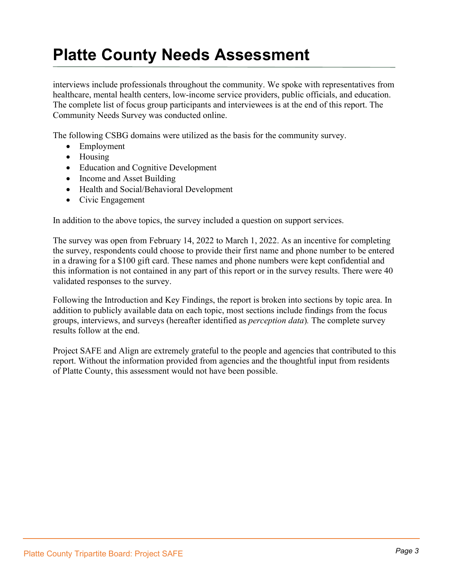interviews include professionals throughout the community. We spoke with representatives from healthcare, mental health centers, low-income service providers, public officials, and education. The complete list of focus group participants and interviewees is at the end of this report. The Community Needs Survey was conducted online.

The following CSBG domains were utilized as the basis for the community survey.

- Employment
- Housing
- Education and Cognitive Development
- Income and Asset Building
- Health and Social/Behavioral Development
- Civic Engagement

In addition to the above topics, the survey included a question on support services.

The survey was open from February 14, 2022 to March 1, 2022. As an incentive for completing the survey, respondents could choose to provide their first name and phone number to be entered in a drawing for a \$100 gift card. These names and phone numbers were kept confidential and this information is not contained in any part of this report or in the survey results. There were 40 validated responses to the survey.

Following the Introduction and Key Findings, the report is broken into sections by topic area. In addition to publicly available data on each topic, most sections include findings from the focus groups, interviews, and surveys (hereafter identified as *perception data*)*.* The complete survey results follow at the end.

Project SAFE and Align are extremely grateful to the people and agencies that contributed to this report. Without the information provided from agencies and the thoughtful input from residents of Platte County, this assessment would not have been possible.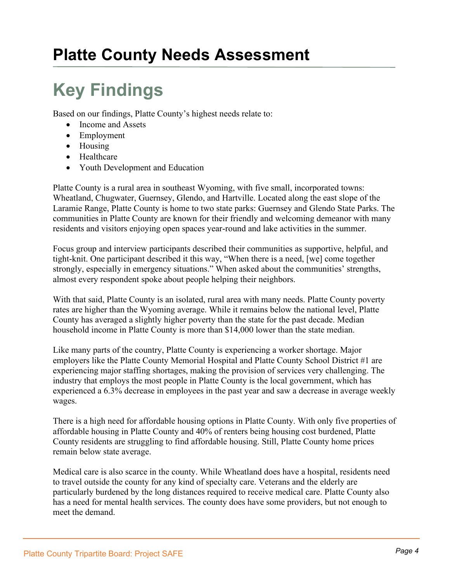# **Key Findings**

Based on our findings, Platte County's highest needs relate to:

- Income and Assets
- Employment
- Housing
- Healthcare
- Youth Development and Education

Platte County is a rural area in southeast Wyoming, with five small, incorporated towns: Wheatland, Chugwater, Guernsey, Glendo, and Hartville. Located along the east slope of the Laramie Range, Platte County is home to two state parks: Guernsey and Glendo State Parks. The communities in Platte County are known for their friendly and welcoming demeanor with many residents and visitors enjoying open spaces year-round and lake activities in the summer.

Focus group and interview participants described their communities as supportive, helpful, and tight-knit. One participant described it this way, "When there is a need, [we] come together strongly, especially in emergency situations." When asked about the communities' strengths, almost every respondent spoke about people helping their neighbors.

With that said, Platte County is an isolated, rural area with many needs. Platte County poverty rates are higher than the Wyoming average. While it remains below the national level, Platte County has averaged a slightly higher poverty than the state for the past decade. Median household income in Platte County is more than \$14,000 lower than the state median.

Like many parts of the country, Platte County is experiencing a worker shortage. Major employers like the Platte County Memorial Hospital and Platte County School District #1 are experiencing major staffing shortages, making the provision of services very challenging. The industry that employs the most people in Platte County is the local government, which has experienced a 6.3% decrease in employees in the past year and saw a decrease in average weekly wages.

There is a high need for affordable housing options in Platte County. With only five properties of affordable housing in Platte County and 40% of renters being housing cost burdened, Platte County residents are struggling to find affordable housing. Still, Platte County home prices remain below state average.

Medical care is also scarce in the county. While Wheatland does have a hospital, residents need to travel outside the county for any kind of specialty care. Veterans and the elderly are particularly burdened by the long distances required to receive medical care. Platte County also has a need for mental health services. The county does have some providers, but not enough to meet the demand.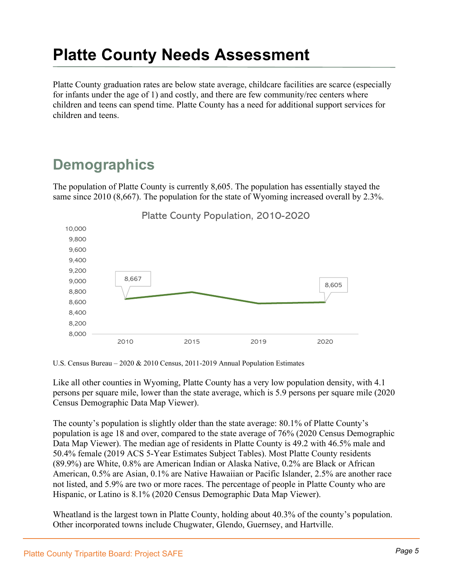Platte County graduation rates are below state average, childcare facilities are scarce (especially for infants under the age of 1) and costly, and there are few community/rec centers where children and teens can spend time. Platte County has a need for additional support services for children and teens.

### **Demographics**

The population of Platte County is currently 8,605. The population has essentially stayed the same since 2010 (8,667). The population for the state of Wyoming increased overall by 2.3%.



U.S. Census Bureau – 2020 & 2010 Census, 2011-2019 Annual Population Estimates

Like all other counties in Wyoming, Platte County has a very low population density, with 4.1 persons per square mile, lower than the state average, which is 5.9 persons per square mile (2020 Census Demographic Data Map Viewer).

The county's population is slightly older than the state average: 80.1% of Platte County's population is age 18 and over, compared to the state average of 76% (2020 Census Demographic Data Map Viewer). The median age of residents in Platte County is 49.2 with 46.5% male and 50.4% female (2019 ACS 5-Year Estimates Subject Tables). Most Platte County residents (89.9%) are White, 0.8% are American Indian or Alaska Native, 0.2% are Black or African American, 0.5% are Asian, 0.1% are Native Hawaiian or Pacific Islander, 2.5% are another race not listed, and 5.9% are two or more races. The percentage of people in Platte County who are Hispanic, or Latino is 8.1% (2020 Census Demographic Data Map Viewer).

Wheatland is the largest town in Platte County, holding about 40.3% of the county's population. Other incorporated towns include Chugwater, Glendo, Guernsey, and Hartville.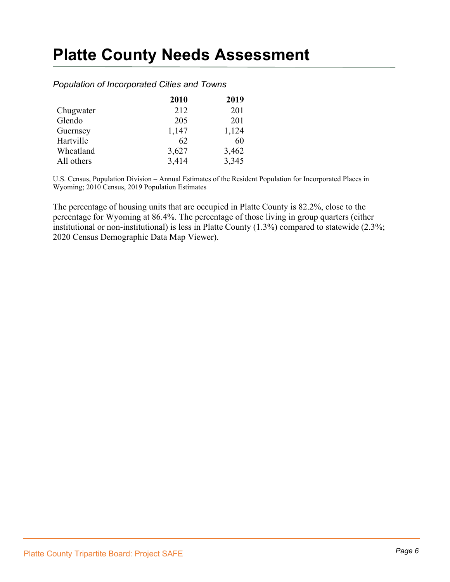|            | 2010  | 2019  |
|------------|-------|-------|
| Chugwater  | 212   | 201   |
| Glendo     | 205   | 201   |
| Guernsey   | 1,147 | 1,124 |
| Hartville  | 62    | 60    |
| Wheatland  | 3,627 | 3,462 |
| All others | 3,414 | 3,345 |

#### *Population of Incorporated Cities and Towns*

U.S. Census, Population Division – Annual Estimates of the Resident Population for Incorporated Places in Wyoming; 2010 Census, 2019 Population Estimates

The percentage of housing units that are occupied in Platte County is 82.2%, close to the percentage for Wyoming at 86.4%. The percentage of those living in group quarters (either institutional or non-institutional) is less in Platte County (1.3%) compared to statewide (2.3%; 2020 Census Demographic Data Map Viewer).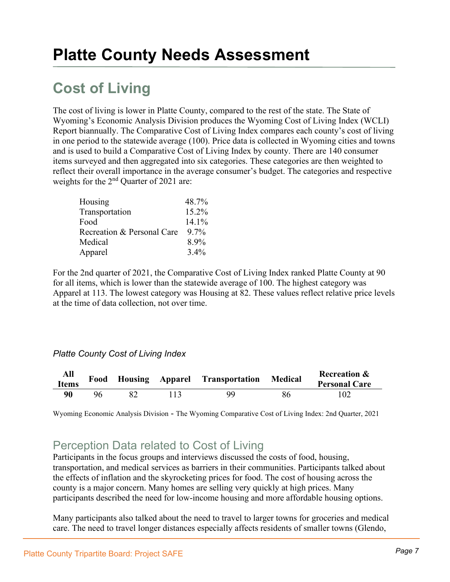### **Cost of Living**

The cost of living is lower in Platte County, compared to the rest of the state. The State of Wyoming's Economic Analysis Division produces the Wyoming Cost of Living Index (WCLI) Report biannually. The Comparative Cost of Living Index compares each county's cost of living in one period to the statewide average (100). Price data is collected in Wyoming cities and towns and is used to build a Comparative Cost of Living Index by county. There are 140 consumer items surveyed and then aggregated into six categories. These categories are then weighted to reflect their overall importance in the average consumer's budget. The categories and respective weights for the 2<sup>nd</sup> Quarter of 2021 are:

| Housing                    | 48.7%   |
|----------------------------|---------|
| Transportation             | 15.2%   |
| Food                       | 14.1%   |
| Recreation & Personal Care | $9.7\%$ |
| Medical                    | 8.9%    |
| Apparel                    | $3.4\%$ |

For the 2nd quarter of 2021, the Comparative Cost of Living Index ranked Platte County at 90 for all items, which is lower than the statewide average of 100. The highest category was Apparel at 113. The lowest category was Housing at 82. These values reflect relative price levels at the time of data collection, not over time.

#### *Platte County Cost of Living Index*

| All<br><b>Items</b> | Food |  | Housing Apparel Transportation Medical |    | <b>Recreation &amp;</b><br><b>Personal Care</b> |
|---------------------|------|--|----------------------------------------|----|-------------------------------------------------|
| 90                  | 96   |  | 99                                     | 86 |                                                 |

Wyoming Economic Analysis Division - The Wyoming Comparative Cost of Living Index: 2nd Quarter, 2021

### Perception Data related to Cost of Living

Participants in the focus groups and interviews discussed the costs of food, housing, transportation, and medical services as barriers in their communities. Participants talked about the effects of inflation and the skyrocketing prices for food. The cost of housing across the county is a major concern. Many homes are selling very quickly at high prices. Many participants described the need for low-income housing and more affordable housing options.

Many participants also talked about the need to travel to larger towns for groceries and medical care. The need to travel longer distances especially affects residents of smaller towns (Glendo,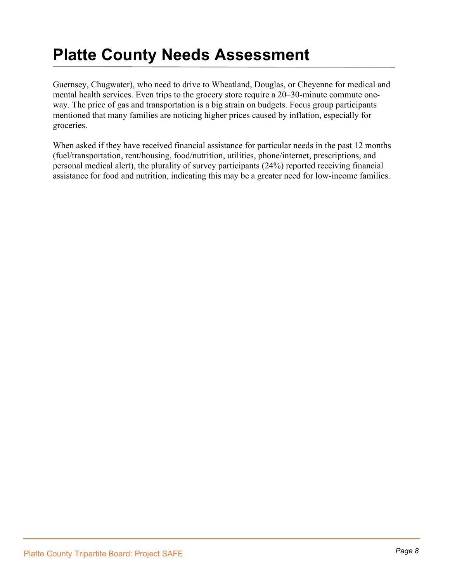Guernsey, Chugwater), who need to drive to Wheatland, Douglas, or Cheyenne for medical and mental health services. Even trips to the grocery store require a 20–30-minute commute oneway. The price of gas and transportation is a big strain on budgets. Focus group participants mentioned that many families are noticing higher prices caused by inflation, especially for groceries.

When asked if they have received financial assistance for particular needs in the past 12 months (fuel/transportation, rent/housing, food/nutrition, utilities, phone/internet, prescriptions, and personal medical alert), the plurality of survey participants (24%) reported receiving financial assistance for food and nutrition, indicating this may be a greater need for low-income families.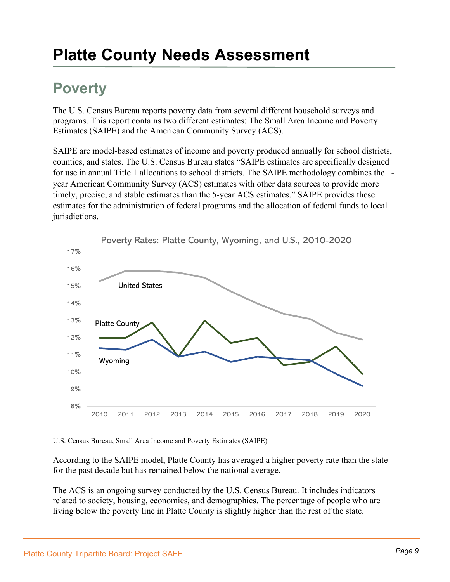### **Poverty**

The U.S. Census Bureau reports poverty data from several different household surveys and programs. This report contains two different estimates: The Small Area Income and Poverty Estimates (SAIPE) and the American Community Survey (ACS).

SAIPE are model-based estimates of income and poverty produced annually for school districts, counties, and states. The U.S. Census Bureau states "SAIPE estimates are specifically designed for use in annual Title 1 allocations to school districts. The SAIPE methodology combines the 1 year American Community Survey (ACS) estimates with other data sources to provide more timely, precise, and stable estimates than the 5-year ACS estimates." SAIPE provides these estimates for the administration of federal programs and the allocation of federal funds to local jurisdictions.



U.S. Census Bureau, Small Area Income and Poverty Estimates (SAIPE)

According to the SAIPE model, Platte County has averaged a higher poverty rate than the state for the past decade but has remained below the national average.

The ACS is an ongoing survey conducted by the U.S. Census Bureau. It includes indicators related to society, housing, economics, and demographics. The percentage of people who are living below the poverty line in Platte County is slightly higher than the rest of the state.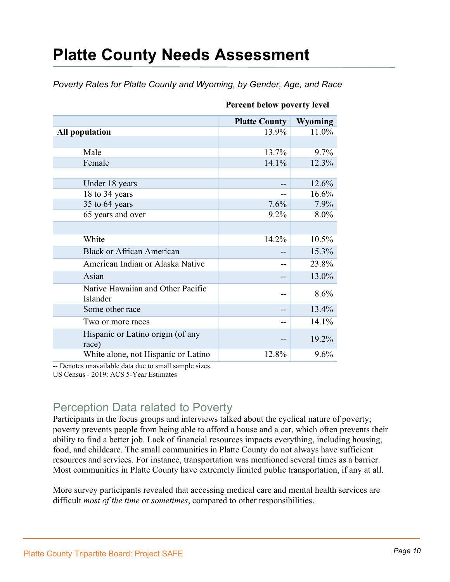*Poverty Rates for Platte County and Wyoming, by Gender, Age, and Race*

|                                               | <b>Platte County</b> | Wyoming |
|-----------------------------------------------|----------------------|---------|
| <b>All population</b>                         | 13.9%                | 11.0%   |
|                                               |                      |         |
| Male                                          | 13.7%                | 9.7%    |
| Female                                        | 14.1%                | 12.3%   |
|                                               |                      |         |
| Under 18 years                                |                      | 12.6%   |
| 18 to 34 years                                |                      | 16.6%   |
| 35 to 64 years                                | 7.6%                 | 7.9%    |
| 65 years and over                             | $9.2\%$              | 8.0%    |
|                                               |                      |         |
| White                                         | 14.2%                | 10.5%   |
| <b>Black or African American</b>              |                      | 15.3%   |
| American Indian or Alaska Native              |                      | 23.8%   |
| Asian                                         |                      | 13.0%   |
| Native Hawaiian and Other Pacific<br>Islander |                      | 8.6%    |
| Some other race                               |                      | 13.4%   |
| Two or more races                             |                      | 14.1%   |
| Hispanic or Latino origin (of any<br>race)    |                      | 19.2%   |
| White alone, not Hispanic or Latino           | 12.8%                | 9.6%    |

#### **Percent below poverty level**

-- Denotes unavailable data due to small sample sizes.

US Census - 2019: ACS 5-Year Estimates

### Perception Data related to Poverty

Participants in the focus groups and interviews talked about the cyclical nature of poverty; poverty prevents people from being able to afford a house and a car, which often prevents their ability to find a better job. Lack of financial resources impacts everything, including housing, food, and childcare. The small communities in Platte County do not always have sufficient resources and services. For instance, transportation was mentioned several times as a barrier. Most communities in Platte County have extremely limited public transportation, if any at all.

More survey participants revealed that accessing medical care and mental health services are difficult *most of the time* or *sometimes*, compared to other responsibilities.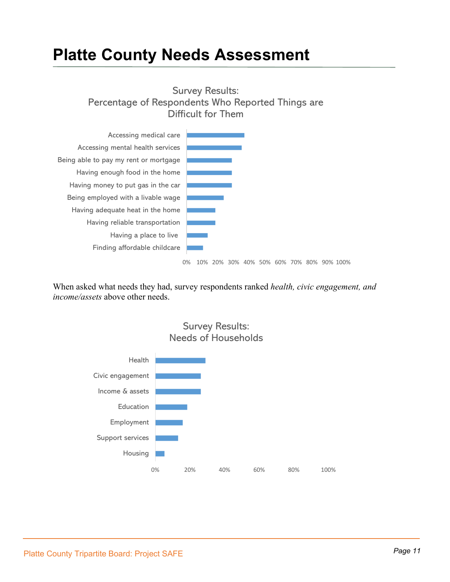Survey Results: Percentage of Respondents Who Reported Things are Difficult for Them



0% 10% 20% 30% 40% 50% 60% 70% 80% 90% 100%

When asked what needs they had, survey respondents ranked *health, civic engagement, and income/assets* above other needs.



Survey Results: Needs of Households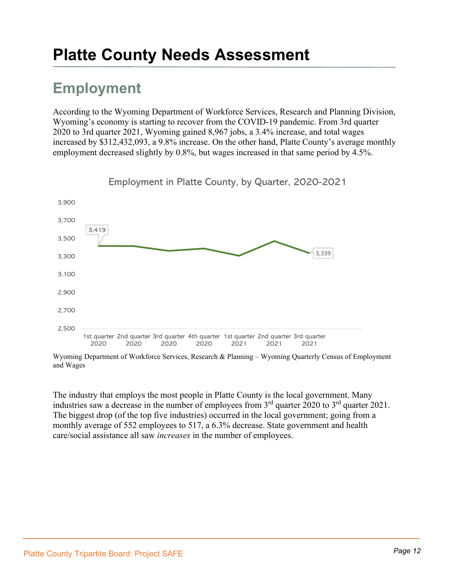### **Employment**

According to the Wyoming Department of Workforce Services, Research and Planning Division, Wyoming's economy is starting to recover from the COVID-19 pandemic. From 3rd quarter 2020 to 3rd quarter 2021, Wyoming gained 8,967 jobs, a 3.4% increase, and total wages increased by \$312,432,093, a 9.8% increase. On the other hand, Platte County's average monthly employment decreased slightly by 0.8%, but wages increased in that same period by 4.5%.



Employment in Platte County, by Quarter, 2020-2021

Wyoming Department of Workforce Services, Research & Planning – Wyoming Quarterly Census of Employment and Wages

The industry that employs the most people in Platte County is the local government. Many industries saw a decrease in the number of employees from  $3<sup>rd</sup>$  quarter 2020 to  $3<sup>rd</sup>$  quarter 2021. The biggest drop (of the top five industries) occurred in the local government; going from a monthly average of 552 employees to 517, a 6.3% decrease. State government and health care/social assistance all saw *increases* in the number of employees.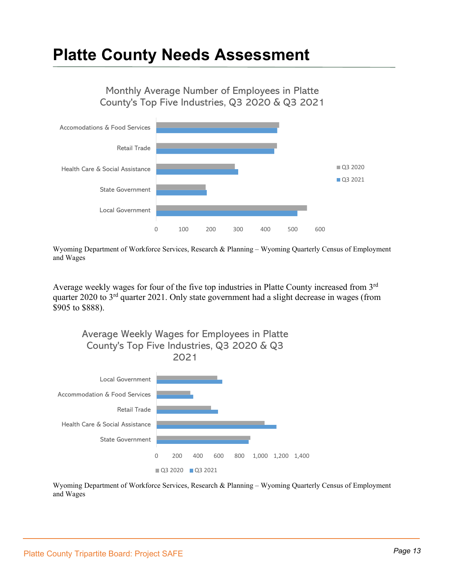Monthly Average Number of Employees in Platte County's Top Five Industries, Q3 2020 & Q3 2021



Wyoming Department of Workforce Services, Research & Planning – Wyoming Quarterly Census of Employment and Wages

Average weekly wages for four of the five top industries in Platte County increased from 3rd quarter 2020 to 3<sup>rd</sup> quarter 2021. Only state government had a slight decrease in wages (from \$905 to \$888).



Wyoming Department of Workforce Services, Research & Planning – Wyoming Quarterly Census of Employment and Wages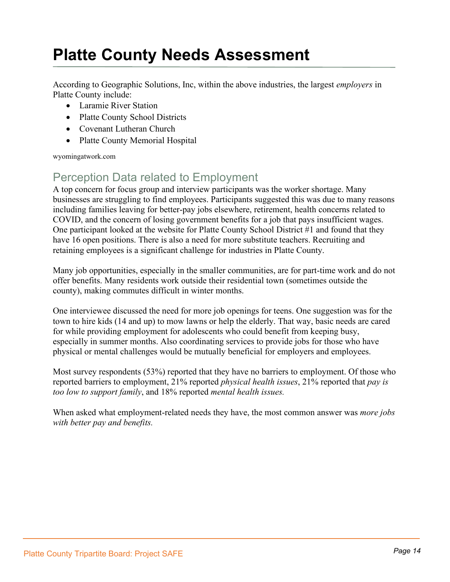According to Geographic Solutions, Inc, within the above industries, the largest *employers* in Platte County include:

- Laramie River Station
- Platte County School Districts
- Covenant Lutheran Church
- Platte County Memorial Hospital

wyomingatwork.com

### Perception Data related to Employment

A top concern for focus group and interview participants was the worker shortage. Many businesses are struggling to find employees. Participants suggested this was due to many reasons including families leaving for better-pay jobs elsewhere, retirement, health concerns related to COVID, and the concern of losing government benefits for a job that pays insufficient wages. One participant looked at the website for Platte County School District #1 and found that they have 16 open positions. There is also a need for more substitute teachers. Recruiting and retaining employees is a significant challenge for industries in Platte County.

Many job opportunities, especially in the smaller communities, are for part-time work and do not offer benefits. Many residents work outside their residential town (sometimes outside the county), making commutes difficult in winter months.

One interviewee discussed the need for more job openings for teens. One suggestion was for the town to hire kids (14 and up) to mow lawns or help the elderly. That way, basic needs are cared for while providing employment for adolescents who could benefit from keeping busy, especially in summer months. Also coordinating services to provide jobs for those who have physical or mental challenges would be mutually beneficial for employers and employees.

Most survey respondents (53%) reported that they have no barriers to employment. Of those who reported barriers to employment, 21% reported *physical health issues*, 21% reported that *pay is too low to support family*, and 18% reported *mental health issues.*

When asked what employment-related needs they have, the most common answer was *more jobs with better pay and benefits.*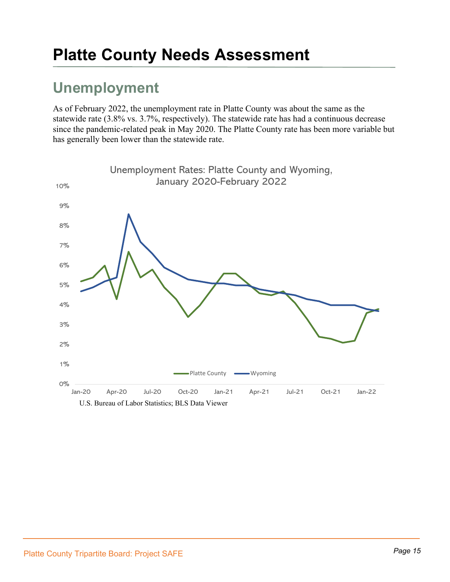### **Unemployment**

As of February 2022, the unemployment rate in Platte County was about the same as the statewide rate (3.8% vs. 3.7%, respectively). The statewide rate has had a continuous decrease since the pandemic-related peak in May 2020. The Platte County rate has been more variable but has generally been lower than the statewide rate.

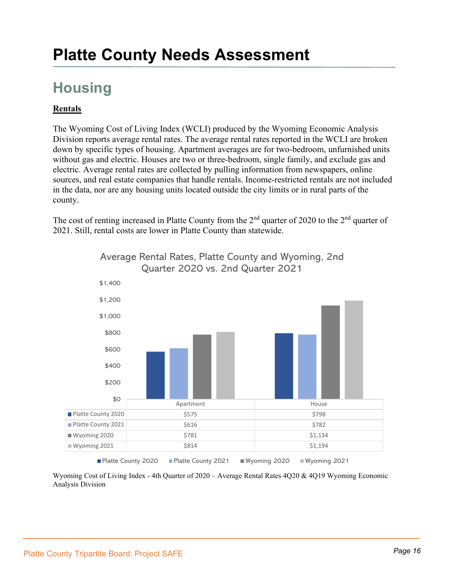### **Housing**

#### **Rentals**

The Wyoming Cost of Living Index (WCLI) produced by the Wyoming Economic Analysis Division reports average rental rates. The average rental rates reported in the WCLI are broken down by specific types of housing. Apartment averages are for two-bedroom, unfurnished units without gas and electric. Houses are two or three-bedroom, single family, and exclude gas and electric. Average rental rates are collected by pulling information from newspapers, online sources, and real estate companies that handle rentals. Income-restricted rentals are not included in the data, nor are any housing units located outside the city limits or in rural parts of the county.

The cost of renting increased in Platte County from the  $2<sup>nd</sup>$  quarter of 2020 to the  $2<sup>nd</sup>$  quarter of 2021. Still, rental costs are lower in Platte County than statewide.



Average Rental Rates, Platte County and Wyoming, 2nd Quarter 2020 vs. 2nd Quarter 2021

Wyoming Cost of Living Index - 4th Quarter of 2020 – Average Rental Rates 4Q20 & 4Q19 Wyoming Economic Analysis Division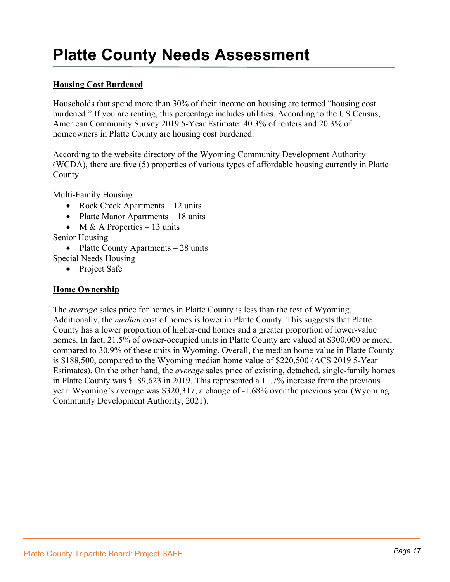#### **Housing Cost Burdened**

Households that spend more than 30% of their income on housing are termed "housing cost burdened." If you are renting, this percentage includes utilities. According to the US Census, American Community Survey 2019 5-Year Estimate: 40.3% of renters and 20.3% of homeowners in Platte County are housing cost burdened.

According to the website directory of the Wyoming Community Development Authority (WCDA), there are five (5) properties of various types of affordable housing currently in Platte County.

Multi-Family Housing

- Rock Creek Apartments 12 units
- Platte Manor Apartments 18 units
- M & A Properties  $-13$  units

Senior Housing

• Platte County Apartments – 28 units

Special Needs Housing

• Project Safe

#### **Home Ownership**

The *average* sales price for homes in Platte County is less than the rest of Wyoming. Additionally, the *median* cost of homes is lower in Platte County. This suggests that Platte County has a lower proportion of higher-end homes and a greater proportion of lower-value homes. In fact, 21.5% of owner-occupied units in Platte County are valued at \$300,000 or more, compared to 30.9% of these units in Wyoming. Overall, the median home value in Platte County is \$188,500, compared to the Wyoming median home value of \$220,500 (ACS 2019 5-Year Estimates). On the other hand, the *average* sales price of existing, detached, single-family homes in Platte County was \$189,623 in 2019. This represented a 11.7% increase from the previous year. Wyoming's average was \$320,317, a change of -1.68% over the previous year (Wyoming Community Development Authority, 2021).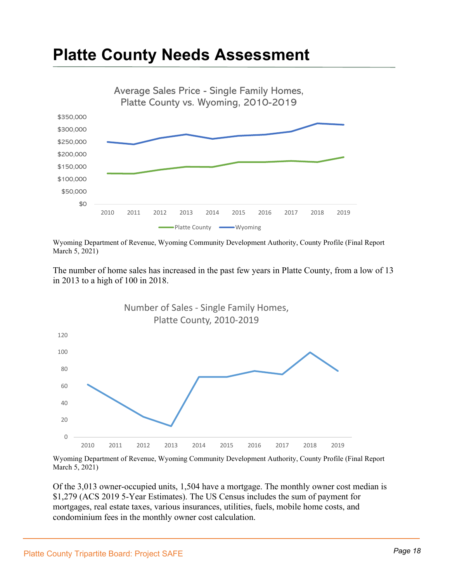

Wyoming Department of Revenue, Wyoming Community Development Authority, County Profile (Final Report March 5, 2021)

The number of home sales has increased in the past few years in Platte County, from a low of 13 in 2013 to a high of 100 in 2018.



Wyoming Department of Revenue, Wyoming Community Development Authority, County Profile (Final Report March 5, 2021)

Of the 3,013 owner-occupied units, 1,504 have a mortgage. The monthly owner cost median is \$1,279 (ACS 2019 5-Year Estimates). The US Census includes the sum of payment for mortgages, real estate taxes, various insurances, utilities, fuels, mobile home costs, and condominium fees in the monthly owner cost calculation.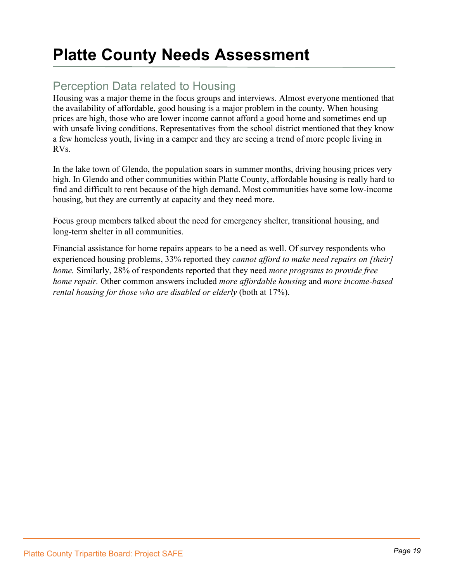### Perception Data related to Housing

Housing was a major theme in the focus groups and interviews. Almost everyone mentioned that the availability of affordable, good housing is a major problem in the county. When housing prices are high, those who are lower income cannot afford a good home and sometimes end up with unsafe living conditions. Representatives from the school district mentioned that they know a few homeless youth, living in a camper and they are seeing a trend of more people living in RVs.

In the lake town of Glendo, the population soars in summer months, driving housing prices very high. In Glendo and other communities within Platte County, affordable housing is really hard to find and difficult to rent because of the high demand. Most communities have some low-income housing, but they are currently at capacity and they need more.

Focus group members talked about the need for emergency shelter, transitional housing, and long-term shelter in all communities.

Financial assistance for home repairs appears to be a need as well. Of survey respondents who experienced housing problems, 33% reported they *cannot afford to make need repairs on [their] home.* Similarly, 28% of respondents reported that they need *more programs to provide free home repair.* Other common answers included *more affordable housing* and *more income-based rental housing for those who are disabled or elderly* (both at 17%).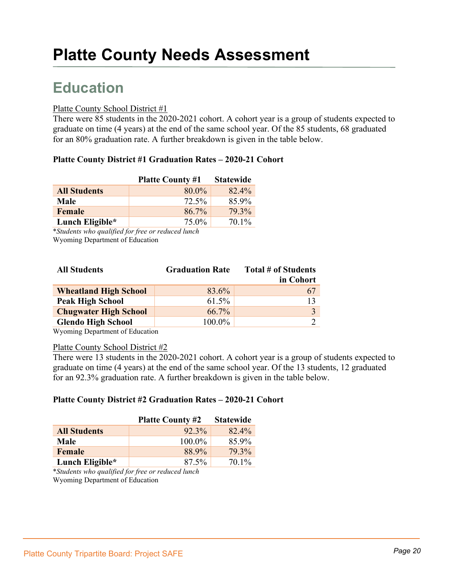### **Education**

#### Platte County School District #1

There were 85 students in the 2020-2021 cohort. A cohort year is a group of students expected to graduate on time (4 years) at the end of the same school year. Of the 85 students, 68 graduated for an 80% graduation rate. A further breakdown is given in the table below.

#### **Platte County District #1 Graduation Rates – 2020-21 Cohort**

|                     | <b>Platte County #1</b> | <b>Statewide</b> |
|---------------------|-------------------------|------------------|
| <b>All Students</b> | 80.0%                   | 82.4%            |
| Male                | 72.5%                   | 85.9%            |
| Female              | 86.7%                   | 79.3%            |
| Lunch Eligible*     | 75.0%                   | 70.1%            |

\**Students who qualified for free or reduced lunch*  Wyoming Department of Education

| <b>All Students</b>          | <b>Graduation Rate</b> | Total # of Students |
|------------------------------|------------------------|---------------------|
|                              |                        | in Cohort           |
| <b>Wheatland High School</b> | 83.6%                  | 67                  |
| <b>Peak High School</b>      | 61.5%                  | 13                  |
| <b>Chugwater High School</b> | 66.7%                  |                     |
| <b>Glendo High School</b>    | 100.0%                 |                     |

Wyoming Department of Education

#### Platte County School District #2

There were 13 students in the 2020-2021 cohort. A cohort year is a group of students expected to graduate on time (4 years) at the end of the same school year. Of the 13 students, 12 graduated for an 92.3% graduation rate. A further breakdown is given in the table below.

#### **Platte County District #2 Graduation Rates – 2020-21 Cohort**

|                     | <b>Platte County #2</b> | <b>Statewide</b> |
|---------------------|-------------------------|------------------|
| <b>All Students</b> | $92.3\%$                | 82.4%            |
| Male                | 100.0%                  | 85.9%            |
| <b>Female</b>       | 88.9%                   | 79.3%            |
| Lunch Eligible*     | 87.5%                   | $70.1\%$         |

\**Students who qualified for free or reduced lunch*  Wyoming Department of Education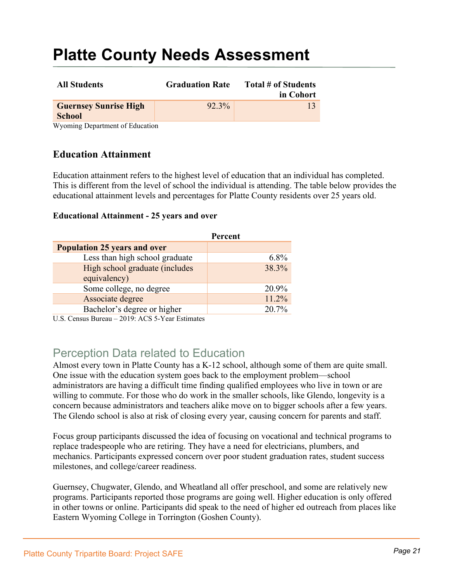| <b>All Students</b>                           | <b>Graduation Rate</b> | Total # of Students<br>in Cohort |
|-----------------------------------------------|------------------------|----------------------------------|
| <b>Guernsey Sunrise High</b><br><b>School</b> | 92.3%                  |                                  |
| $W_{\ell}$ in a privilege                     |                        |                                  |

Wyoming Department of Education

#### **Education Attainment**

Education attainment refers to the highest level of education that an individual has completed. This is different from the level of school the individual is attending. The table below provides the educational attainment levels and percentages for Platte County residents over 25 years old.

#### **Educational Attainment - 25 years and over**

| Percent |
|---------|
|         |
| $6.8\%$ |
| 38.3%   |
|         |
| 20.9%   |
| 11.2%   |
| 20.7%   |
|         |

U.S. Census Bureau – 2019: ACS 5-Year Estimates

### Perception Data related to Education

Almost every town in Platte County has a K-12 school, although some of them are quite small. One issue with the education system goes back to the employment problem—school administrators are having a difficult time finding qualified employees who live in town or are willing to commute. For those who do work in the smaller schools, like Glendo, longevity is a concern because administrators and teachers alike move on to bigger schools after a few years. The Glendo school is also at risk of closing every year, causing concern for parents and staff.

Focus group participants discussed the idea of focusing on vocational and technical programs to replace tradespeople who are retiring. They have a need for electricians, plumbers, and mechanics. Participants expressed concern over poor student graduation rates, student success milestones, and college/career readiness.

Guernsey, Chugwater, Glendo, and Wheatland all offer preschool, and some are relatively new programs. Participants reported those programs are going well. Higher education is only offered in other towns or online. Participants did speak to the need of higher ed outreach from places like Eastern Wyoming College in Torrington (Goshen County).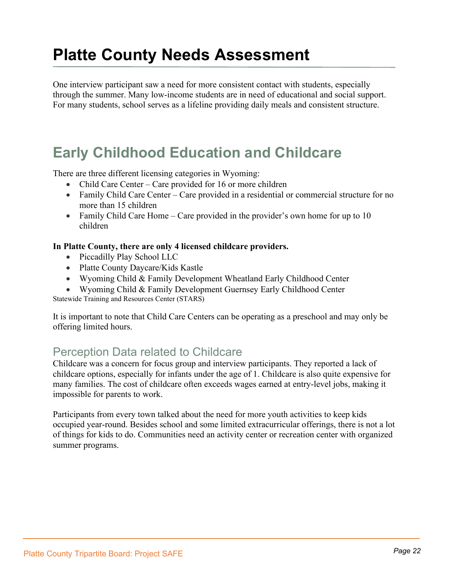One interview participant saw a need for more consistent contact with students, especially through the summer. Many low-income students are in need of educational and social support. For many students, school serves as a lifeline providing daily meals and consistent structure.

### **Early Childhood Education and Childcare**

There are three different licensing categories in Wyoming:

- Child Care Center Care provided for 16 or more children
- Family Child Care Center Care provided in a residential or commercial structure for no more than 15 children
- Family Child Care Home Care provided in the provider's own home for up to 10 children

#### **In Platte County, there are only 4 licensed childcare providers.**

- Piccadilly Play School LLC
- Platte County Daycare/Kids Kastle
- Wyoming Child & Family Development Wheatland Early Childhood Center
- Wyoming Child & Family Development Guernsey Early Childhood Center

Statewide Training and Resources Center (STARS)

It is important to note that Child Care Centers can be operating as a preschool and may only be offering limited hours.

### Perception Data related to Childcare

Childcare was a concern for focus group and interview participants. They reported a lack of childcare options, especially for infants under the age of 1. Childcare is also quite expensive for many families. The cost of childcare often exceeds wages earned at entry-level jobs, making it impossible for parents to work.

Participants from every town talked about the need for more youth activities to keep kids occupied year-round. Besides school and some limited extracurricular offerings, there is not a lot of things for kids to do. Communities need an activity center or recreation center with organized summer programs.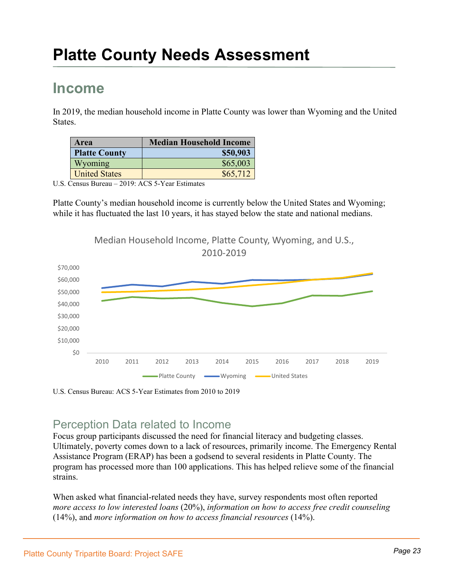### **Income**

In 2019, the median household income in Platte County was lower than Wyoming and the United States.

| Area                 | <b>Median Household Income</b> |
|----------------------|--------------------------------|
| <b>Platte County</b> | \$50,903                       |
| Wyoming              | \$65,003                       |
| <b>United States</b> | \$65,712                       |

U.S. Census Bureau – 2019: ACS 5-Year Estimates

Platte County's median household income is currently below the United States and Wyoming; while it has fluctuated the last 10 years, it has stayed below the state and national medians.

Median Household Income, Platte County, Wyoming, and U.S.,



U.S. Census Bureau: ACS 5-Year Estimates from 2010 to 2019

### Perception Data related to Income

Focus group participants discussed the need for financial literacy and budgeting classes. Ultimately, poverty comes down to a lack of resources, primarily income. The Emergency Rental Assistance Program (ERAP) has been a godsend to several residents in Platte County. The program has processed more than 100 applications. This has helped relieve some of the financial strains.

When asked what financial-related needs they have, survey respondents most often reported *more access to low interested loans* (20%), *information on how to access free credit counseling* (14%), and *more information on how to access financial resources* (14%).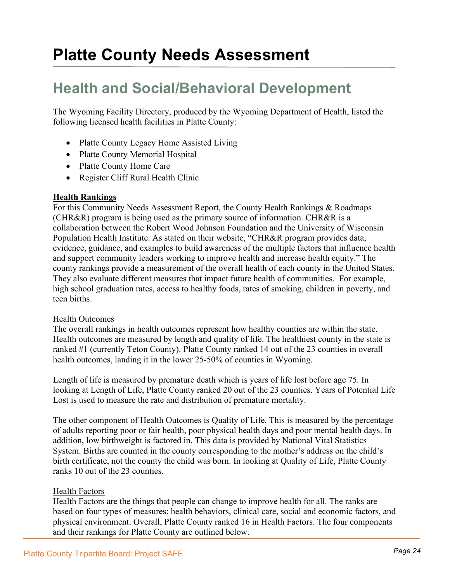### **Health and Social/Behavioral Development**

The Wyoming Facility Directory, produced by the Wyoming Department of Health, listed the following licensed health facilities in Platte County:

- Platte County Legacy Home Assisted Living
- Platte County Memorial Hospital
- Platte County Home Care
- Register Cliff Rural Health Clinic

#### **Health Rankings**

For this Community Needs Assessment Report, the County Health Rankings & Roadmaps (CHR&R) program is being used as the primary source of information. CHR&R is a collaboration between the Robert Wood Johnson Foundation and the University of Wisconsin Population Health Institute. As stated on their website, "CHR&R program provides data, evidence, guidance, and examples to build awareness of the multiple factors that influence health and support community leaders working to improve health and increase health equity." The county rankings provide a measurement of the overall health of each county in the United States. They also evaluate different measures that impact future health of communities. For example, high school graduation rates, access to healthy foods, rates of smoking, children in poverty, and teen births.

#### Health Outcomes

The overall rankings in health outcomes represent how healthy counties are within the state. Health outcomes are measured by length and quality of life. The healthiest county in the state is ranked #1 (currently Teton County). Platte County ranked 14 out of the 23 counties in overall health outcomes, landing it in the lower 25-50% of counties in Wyoming.

Length of life is measured by premature death which is years of life lost before age 75. In looking at Length of Life, Platte County ranked 20 out of the 23 counties. Years of Potential Life Lost is used to measure the rate and distribution of premature mortality.

The other component of Health Outcomes is Quality of Life. This is measured by the percentage of adults reporting poor or fair health, poor physical health days and poor mental health days. In addition, low birthweight is factored in. This data is provided by National Vital Statistics System. Births are counted in the county corresponding to the mother's address on the child's birth certificate, not the county the child was born. In looking at Quality of Life, Platte County ranks 10 out of the 23 counties.

#### Health Factors

Health Factors are the things that people can change to improve health for all. The ranks are based on four types of measures: health behaviors, clinical care, social and economic factors, and physical environment. Overall, Platte County ranked 16 in Health Factors. The four components and their rankings for Platte County are outlined below.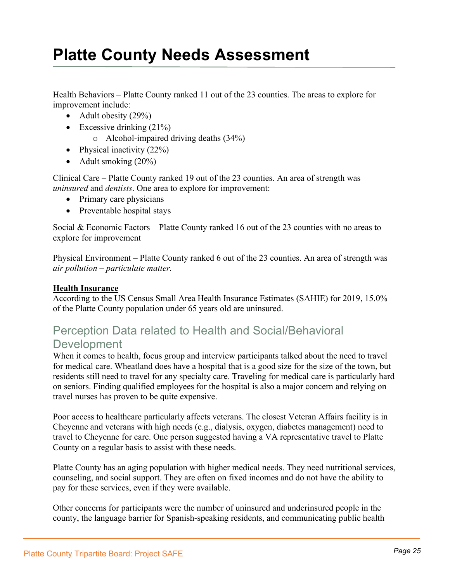Health Behaviors – Platte County ranked 11 out of the 23 counties. The areas to explore for improvement include:

- Adult obesity  $(29\%)$
- Excessive drinking  $(21\%)$ 
	- o Alcohol-impaired driving deaths (34%)
- Physical inactivity  $(22%)$
- Adult smoking (20%)

Clinical Care – Platte County ranked 19 out of the 23 counties. An area of strength was *uninsured* and *dentists*. One area to explore for improvement:

- Primary care physicians
- Preventable hospital stays

Social & Economic Factors – Platte County ranked 16 out of the 23 counties with no areas to explore for improvement

Physical Environment – Platte County ranked 6 out of the 23 counties. An area of strength was *air pollution – particulate matter.*

#### **Health Insurance**

According to the US Census Small Area Health Insurance Estimates (SAHIE) for 2019, 15.0% of the Platte County population under 65 years old are uninsured.

### Perception Data related to Health and Social/Behavioral

#### **Development**

When it comes to health, focus group and interview participants talked about the need to travel for medical care. Wheatland does have a hospital that is a good size for the size of the town, but residents still need to travel for any specialty care. Traveling for medical care is particularly hard on seniors. Finding qualified employees for the hospital is also a major concern and relying on travel nurses has proven to be quite expensive.

Poor access to healthcare particularly affects veterans. The closest Veteran Affairs facility is in Cheyenne and veterans with high needs (e.g., dialysis, oxygen, diabetes management) need to travel to Cheyenne for care. One person suggested having a VA representative travel to Platte County on a regular basis to assist with these needs.

Platte County has an aging population with higher medical needs. They need nutritional services, counseling, and social support. They are often on fixed incomes and do not have the ability to pay for these services, even if they were available.

Other concerns for participants were the number of uninsured and underinsured people in the county, the language barrier for Spanish-speaking residents, and communicating public health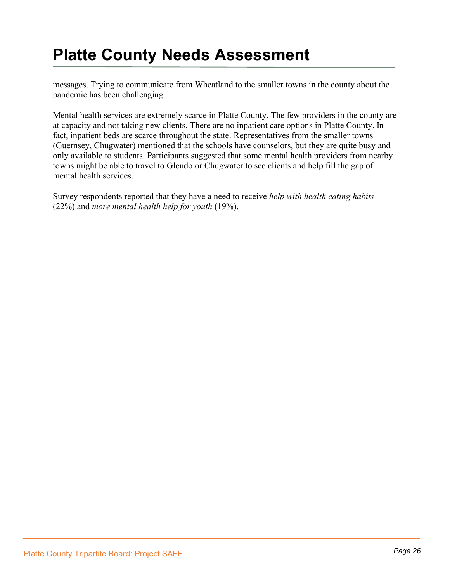messages. Trying to communicate from Wheatland to the smaller towns in the county about the pandemic has been challenging.

Mental health services are extremely scarce in Platte County. The few providers in the county are at capacity and not taking new clients. There are no inpatient care options in Platte County. In fact, inpatient beds are scarce throughout the state. Representatives from the smaller towns (Guernsey, Chugwater) mentioned that the schools have counselors, but they are quite busy and only available to students. Participants suggested that some mental health providers from nearby towns might be able to travel to Glendo or Chugwater to see clients and help fill the gap of mental health services.

Survey respondents reported that they have a need to receive *help with health eating habits*  (22%) and *more mental health help for youth* (19%).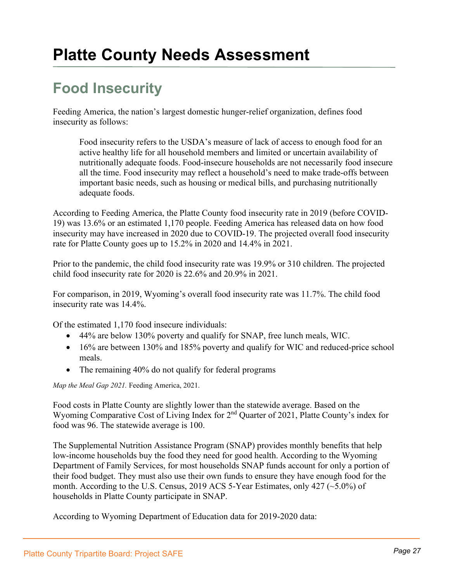### **Food Insecurity**

Feeding America, the nation's largest domestic hunger-relief organization, defines food insecurity as follows:

Food insecurity refers to the USDA's measure of lack of access to enough food for an active healthy life for all household members and limited or uncertain availability of nutritionally adequate foods. Food-insecure households are not necessarily food insecure all the time. Food insecurity may reflect a household's need to make trade-offs between important basic needs, such as housing or medical bills, and purchasing nutritionally adequate foods.

According to Feeding America, the Platte County food insecurity rate in 2019 (before COVID-19) was 13.6% or an estimated 1,170 people. Feeding America has released data on how food insecurity may have increased in 2020 due to COVID-19. The projected overall food insecurity rate for Platte County goes up to 15.2% in 2020 and 14.4% in 2021.

Prior to the pandemic, the child food insecurity rate was 19.9% or 310 children. The projected child food insecurity rate for 2020 is 22.6% and 20.9% in 2021.

For comparison, in 2019, Wyoming's overall food insecurity rate was 11.7%. The child food insecurity rate was 14.4%.

Of the estimated 1,170 food insecure individuals:

- 44% are below 130% poverty and qualify for SNAP, free lunch meals, WIC.
- 16% are between 130% and 185% poverty and qualify for WIC and reduced-price school meals.
- The remaining 40% do not qualify for federal programs

*Map the Meal Gap 2021.* Feeding America, 2021.

Food costs in Platte County are slightly lower than the statewide average. Based on the Wyoming Comparative Cost of Living Index for 2<sup>nd</sup> Quarter of 2021, Platte County's index for food was 96. The statewide average is 100.

The Supplemental Nutrition Assistance Program (SNAP) provides monthly benefits that help low-income households buy the food they need for good health. According to the Wyoming Department of Family Services, for most households SNAP funds account for only a portion of their food budget. They must also use their own funds to ensure they have enough food for the month. According to the U.S. Census, 2019 ACS 5-Year Estimates, only 427 (~5.0%) of households in Platte County participate in SNAP.

According to Wyoming Department of Education data for 2019-2020 data: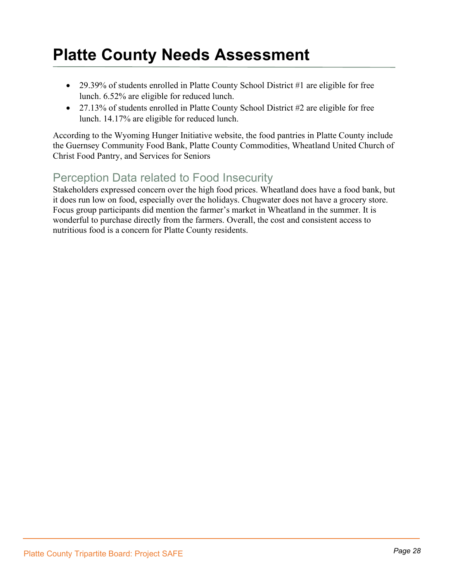- 29.39% of students enrolled in Platte County School District #1 are eligible for free lunch. 6.52% are eligible for reduced lunch.
- 27.13% of students enrolled in Platte County School District #2 are eligible for free lunch. 14.17% are eligible for reduced lunch.

According to the Wyoming Hunger Initiative website, the food pantries in Platte County include the Guernsey Community Food Bank, Platte County Commodities, Wheatland United Church of Christ Food Pantry, and Services for Seniors

### Perception Data related to Food Insecurity

Stakeholders expressed concern over the high food prices. Wheatland does have a food bank, but it does run low on food, especially over the holidays. Chugwater does not have a grocery store. Focus group participants did mention the farmer's market in Wheatland in the summer. It is wonderful to purchase directly from the farmers. Overall, the cost and consistent access to nutritious food is a concern for Platte County residents.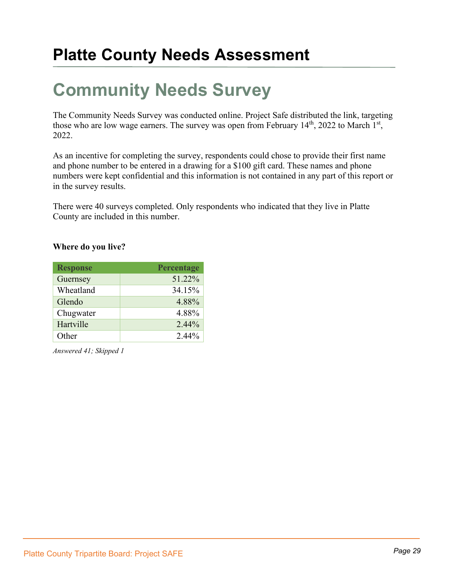# **Community Needs Survey**

The Community Needs Survey was conducted online. Project Safe distributed the link, targeting those who are low wage earners. The survey was open from February  $14<sup>th</sup>$ , 2022 to March  $1<sup>st</sup>$ , 2022.

As an incentive for completing the survey, respondents could chose to provide their first name and phone number to be entered in a drawing for a \$100 gift card. These names and phone numbers were kept confidential and this information is not contained in any part of this report or in the survey results.

There were 40 surveys completed. Only respondents who indicated that they live in Platte County are included in this number.

#### **Where do you live?**

| <b>Response</b> | Percentage |
|-----------------|------------|
| Guernsey        | 51.22%     |
| Wheatland       | 34.15%     |
| Glendo          | 4.88%      |
| Chugwater       | 4.88%      |
| Hartville       | $2.44\%$   |
| Other           | $2.44\%$   |

*Answered 41; Skipped 1*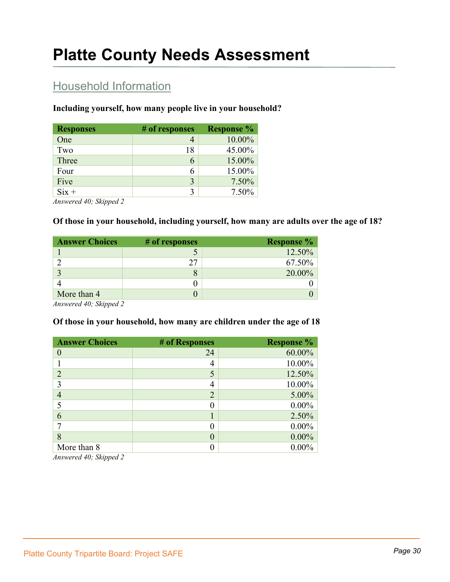### Household Information

#### **Including yourself, how many people live in your household?**

| <b>Responses</b> | # of responses | <b>Response %</b> |
|------------------|----------------|-------------------|
| One              |                | 10.00%            |
| Two              | 18             | 45.00%            |
| Three            | 6              | 15.00%            |
| Four             | 6              | 15.00%            |
| Five             | 3              | 7.50%             |
| $Six +$          | 3              | 7.50%             |

*Answered 40; Skipped 2*

#### **Of those in your household, including yourself, how many are adults over the age of 18?**

| <b>Answer Choices</b> | # of responses | <b>Response</b> % |
|-----------------------|----------------|-------------------|
|                       |                | 12.50%            |
|                       | フフ             | 67.50%            |
|                       |                | 20.00%            |
|                       |                |                   |
| More than 4           |                |                   |

*Answered 40; Skipped 2*

#### **Of those in your household, how many are children under the age of 18**

| <b>Answer Choices</b> | # of Responses   | <b>Response %</b> |
|-----------------------|------------------|-------------------|
| $\theta$              | 24               | 60.00%            |
|                       | 4                | 10.00%            |
| $\overline{2}$        | 5                | 12.50%            |
| 3                     | 4                | 10.00%            |
| 4                     | $\overline{2}$   | 5.00%             |
| 5                     |                  | $0.00\%$          |
| 6                     |                  | 2.50%             |
|                       |                  | $0.00\%$          |
| 8                     | $\left( \right)$ | $0.00\%$          |
| More than 8           |                  | $0.00\%$          |

*Answered 40; Skipped 2*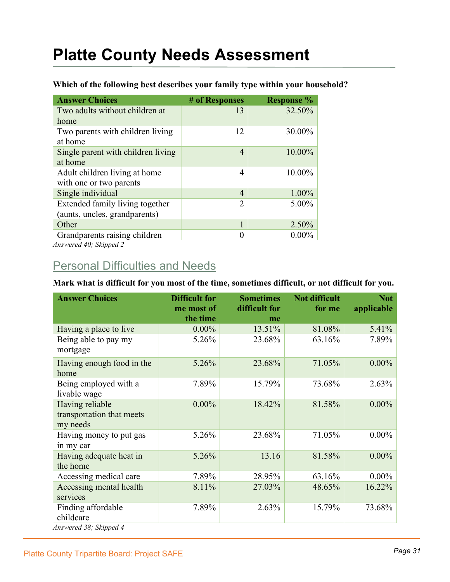| <b>Answer Choices</b>              | # of Responses | <b>Response</b> % |
|------------------------------------|----------------|-------------------|
| Two adults without children at     | 13             | 32.50%            |
| home                               |                |                   |
| Two parents with children living   | 12             | 30.00%            |
| at home                            |                |                   |
| Single parent with children living | 4              | 10.00%            |
| at home                            |                |                   |
| Adult children living at home      | 4              | 10.00%            |
| with one or two parents            |                |                   |
| Single individual                  | 4              | 1.00%             |
| Extended family living together    | $\mathfrak{D}$ | 5.00%             |
| (aunts, uncles, grandparents)      |                |                   |
| Other                              | 1              | 2.50%             |
| Grandparents raising children      |                | $0.00\%$          |

#### **Which of the following best describes your family type within your household?**

*Answered 40; Skipped 2*

### Personal Difficulties and Needs

#### **Mark what is difficult for you most of the time, sometimes difficult, or not difficult for you.**

| <b>Answer Choices</b>                                     | <b>Difficult for</b><br>me most of<br>the time | <b>Sometimes</b><br>difficult for<br>me | <b>Not difficult</b><br>for me | <b>Not</b><br>applicable |
|-----------------------------------------------------------|------------------------------------------------|-----------------------------------------|--------------------------------|--------------------------|
| Having a place to live                                    | $0.00\%$                                       | 13.51%                                  | 81.08%                         | 5.41%                    |
| Being able to pay my<br>mortgage                          | 5.26%                                          | 23.68%                                  | 63.16%                         | 7.89%                    |
| Having enough food in the<br>home                         | 5.26%                                          | 23.68%                                  | 71.05%                         | $0.00\%$                 |
| Being employed with a<br>livable wage                     | 7.89%                                          | 15.79%                                  | 73.68%                         | 2.63%                    |
| Having reliable<br>transportation that meets<br>my needs  | $0.00\%$                                       | 18.42%                                  | 81.58%                         | $0.00\%$                 |
| Having money to put gas<br>in my car                      | 5.26%                                          | 23.68%                                  | 71.05%                         | $0.00\%$                 |
| Having adequate heat in<br>the home                       | 5.26%                                          | 13.16                                   | 81.58%                         | $0.00\%$                 |
| Accessing medical care                                    | 7.89%                                          | 28.95%                                  | 63.16%                         | $0.00\%$                 |
| Accessing mental health<br>services                       | 8.11%                                          | 27.03%                                  | 48.65%                         | 16.22%                   |
| Finding affordable<br>childcare<br>Answered 38; Skipped 4 | 7.89%                                          | 2.63%                                   | 15.79%                         | 73.68%                   |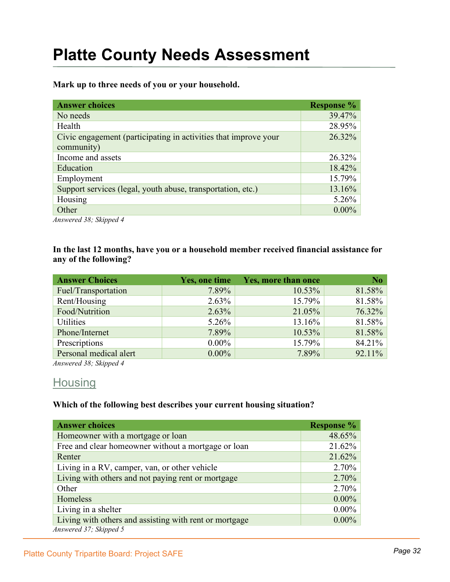**Mark up to three needs of you or your household.**

| <b>Answer choices</b>                                                         | <b>Response %</b> |
|-------------------------------------------------------------------------------|-------------------|
| No needs                                                                      | 39.47%            |
| Health                                                                        | 28.95%            |
| Civic engagement (participating in activities that improve your<br>community) | 26.32%            |
| Income and assets                                                             | 26.32%            |
| Education                                                                     | 18.42%            |
| Employment                                                                    | 15.79%            |
| Support services (legal, youth abuse, transportation, etc.)                   | 13.16%            |
| Housing                                                                       | $5.26\%$          |
| Other<br>$1.20 \pm 0.1$<br>$\mathbf{1}$                                       | $0.00\%$          |

*Answered 38; Skipped 4*

**In the last 12 months, have you or a household member received financial assistance for any of the following?**

| <b>Answer Choices</b>  | Yes, one time | <b>Yes, more than once</b> | N <sub>o</sub> |
|------------------------|---------------|----------------------------|----------------|
| Fuel/Transportation    | 7.89%         | 10.53%                     | 81.58%         |
| Rent/Housing           | $2.63\%$      | 15.79%                     | 81.58%         |
| Food/Nutrition         | 2.63%         | 21.05%                     | 76.32%         |
| <b>Utilities</b>       | $5.26\%$      | 13.16%                     | 81.58%         |
| Phone/Internet         | 7.89%         | 10.53%                     | 81.58%         |
| Prescriptions          | $0.00\%$      | 15.79%                     | 84.21%         |
| Personal medical alert | $0.00\%$      | 7.89%                      | 92.11%         |

*Answered 38; Skipped 4*

#### **Housing**

#### **Which of the following best describes your current housing situation?**

| <b>Answer choices</b>                                  | <b>Response %</b> |
|--------------------------------------------------------|-------------------|
| Homeowner with a mortgage or loan                      | 48.65%            |
| Free and clear homeowner without a mortgage or loan    | 21.62%            |
| Renter                                                 | 21.62%            |
| Living in a RV, camper, van, or other vehicle          | 2.70%             |
| Living with others and not paying rent or mortgage     | 2.70%             |
| Other                                                  | 2.70%             |
| Homeless                                               | $0.00\%$          |
| Living in a shelter                                    | $0.00\%$          |
| Living with others and assisting with rent or mortgage | $0.00\%$          |
| Answered 37; Skipped 5                                 |                   |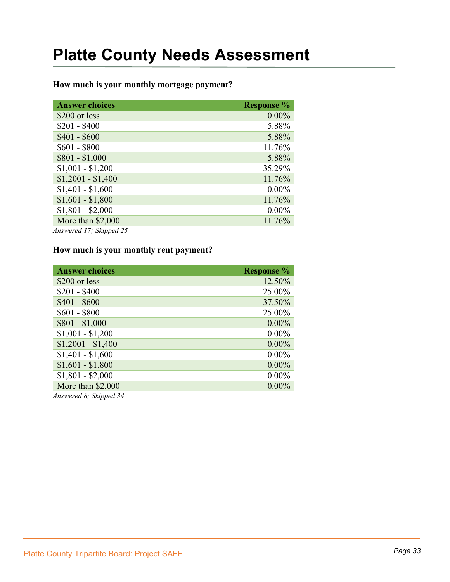#### **How much is your monthly mortgage payment?**

| <b>Answer choices</b> | <b>Response</b> % |
|-----------------------|-------------------|
| \$200 or less         | $0.00\%$          |
| $$201 - $400$         | 5.88%             |
| $$401 - $600$         | 5.88%             |
| $$601 - $800$         | 11.76%            |
| $$801 - $1,000$       | 5.88%             |
| $$1,001 - $1,200$     | 35.29%            |
| $$1,2001 - $1,400$    | 11.76%            |
| $$1,401 - $1,600$     | $0.00\%$          |
| $$1,601 - $1,800$     | 11.76%            |
| $$1,801 - $2,000$     | $0.00\%$          |
| More than \$2,000     | 11.76%            |
| A                     |                   |

*Answered 17; Skipped 25*

#### **How much is your monthly rent payment?**

| <b>Answer choices</b>                          | <b>Response</b> % |
|------------------------------------------------|-------------------|
| \$200 or less                                  | 12.50%            |
| $$201 - $400$                                  | 25.00%            |
| $$401 - $600$                                  | 37.50%            |
| $$601 - $800$                                  | 25.00%            |
| $$801 - $1,000$                                | $0.00\%$          |
| $$1,001 - $1,200$                              | $0.00\%$          |
| $$1,2001 - $1,400$                             | $0.00\%$          |
| $$1,401 - $1,600$                              | $0.00\%$          |
| $$1,601 - $1,800$                              | $0.00\%$          |
| $$1,801 - $2,000$                              | $0.00\%$          |
| More than \$2,000<br>$\lambda = 10.01 \pm 124$ | $0.00\%$          |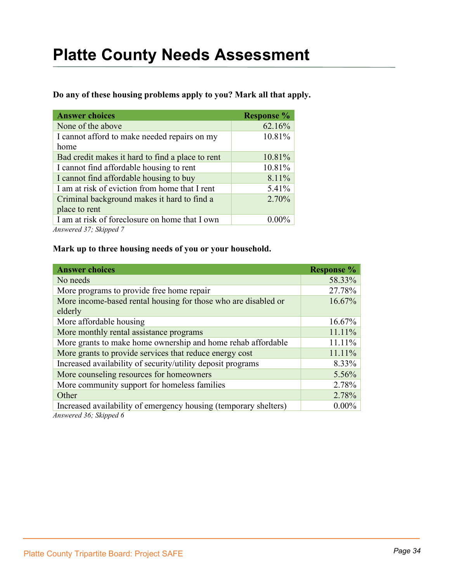**Do any of these housing problems apply to you? Mark all that apply.**

| <b>Answer choices</b>                            | <b>Response %</b> |
|--------------------------------------------------|-------------------|
| None of the above                                | 62.16%            |
| I cannot afford to make needed repairs on my     | 10.81%            |
| home                                             |                   |
| Bad credit makes it hard to find a place to rent | 10.81%            |
| I cannot find affordable housing to rent         | 10.81%            |
| I cannot find affordable housing to buy          | 8.11%             |
| I am at risk of eviction from home that I rent   | 5.41%             |
| Criminal background makes it hard to find a      | 2.70%             |
| place to rent                                    |                   |
| I am at risk of foreclosure on home that I own   | $0.00\%$          |
| $A$ nguayad 27. $I$ innad 7                      |                   |

*Answered 37; Skipped 7*

#### **Mark up to three housing needs of you or your household.**

| <b>Answer choices</b>                                            | <b>Response</b> % |
|------------------------------------------------------------------|-------------------|
| No needs                                                         | 58.33%            |
| More programs to provide free home repair                        | 27.78%            |
| More income-based rental housing for those who are disabled or   | 16.67%            |
| elderly                                                          |                   |
| More affordable housing                                          | 16.67%            |
| More monthly rental assistance programs                          | 11.11%            |
| More grants to make home ownership and home rehab affordable     | 11.11%            |
| More grants to provide services that reduce energy cost          | 11.11%            |
| Increased availability of security/utility deposit programs      | 8.33%             |
| More counseling resources for homeowners                         | $5.56\%$          |
| More community support for homeless families                     | 2.78%             |
| Other                                                            | 2.78%             |
| Increased availability of emergency housing (temporary shelters) | $0.00\%$          |
| Answered 36; Skipped 6                                           |                   |

*Page 34* Platte County Tripartite Board: Project SAFE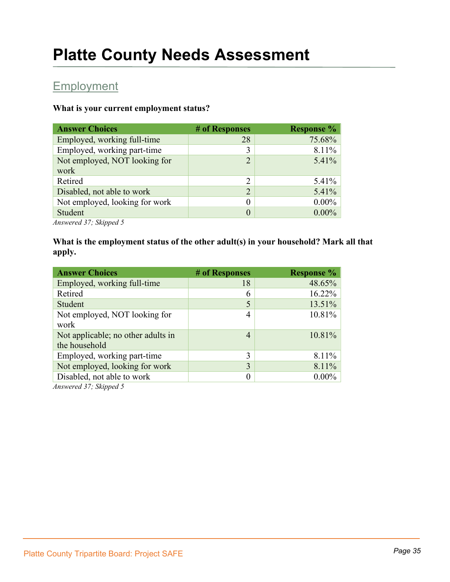### **Employment**

#### **What is your current employment status?**

| # of Responses | <b>Response %</b> |
|----------------|-------------------|
| 28             | 75.68%            |
| 3              | $8.11\%$          |
| $\overline{2}$ | $5.41\%$          |
|                |                   |
| $\overline{2}$ | $5.41\%$          |
| $\overline{2}$ | $5.41\%$          |
| $\theta$       | $0.00\%$          |
| $\theta$       | $0.00\%$          |
|                |                   |

*Answered 37; Skipped 5*

#### **What is the employment status of the other adult(s) in your household? Mark all that apply.**

| <b>Answer Choices</b>                               | # of Responses | <b>Response %</b> |
|-----------------------------------------------------|----------------|-------------------|
| Employed, working full-time                         | 18             | 48.65%            |
| Retired                                             | 6              | 16.22%            |
| Student                                             | 5              | 13.51%            |
| Not employed, NOT looking for<br>work               | 4              | 10.81%            |
| Not applicable; no other adults in<br>the household | $\overline{4}$ | 10.81%            |
| Employed, working part-time                         | 3              | 8.11%             |
| Not employed, looking for work                      | 3              | 8.11%             |
| Disabled, not able to work                          | 0              | $0.00\%$          |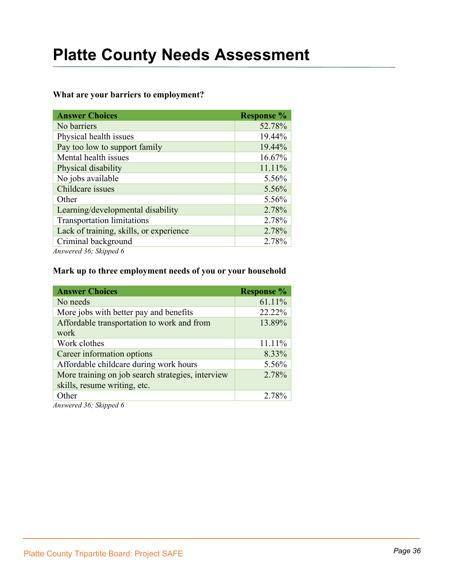#### **What are your barriers to employment?**

| <b>Response %</b> |
|-------------------|
| 52.78%            |
| 19.44%            |
| 19.44%            |
| 16.67%            |
| 11.11%            |
| 5.56%             |
| 5.56%             |
| 5.56%             |
| 2.78%             |
| 2.78%             |
| 2.78%             |
| 2.78%             |
|                   |

*Answered 36; Skipped 6*

#### **Mark up to three employment needs of you or your household**

| <b>Answer Choices</b>                             | <b>Response</b> % |
|---------------------------------------------------|-------------------|
| No needs                                          | 61.11%            |
| More jobs with better pay and benefits            | 22.22%            |
| Affordable transportation to work and from        | 13.89%            |
| work                                              |                   |
| Work clothes                                      | 11.11%            |
| Career information options                        | 8.33%             |
| Affordable childcare during work hours            | 5.56%             |
| More training on job search strategies, interview | 2.78%             |
| skills, resume writing, etc.                      |                   |
| Other                                             | 2.78%             |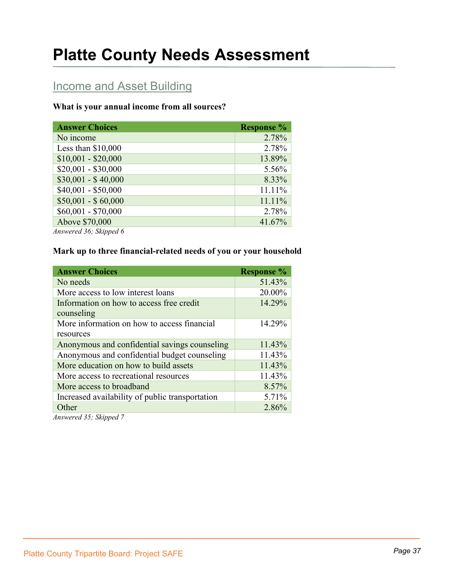### **Income and Asset Building**

#### **What is your annual income from all sources?**

| <b>Answer Choices</b>                     | <b>Response</b> % |
|-------------------------------------------|-------------------|
| No income                                 | 2.78%             |
| Less than $$10,000$                       | 2.78%             |
| $$10,001 - $20,000$                       | 13.89%            |
| $$20,001 - $30,000$                       | 5.56%             |
| $$30,001 - $40,000$                       | 8.33%             |
| $$40,001 - $50,000$                       | 11.11%            |
| $$50,001 - $60,000$                       | 11.11%            |
| $$60,001 - $70,000$                       | 2.78%             |
| Above \$70,000<br>$1.26$ $01.7$<br>$\sim$ | 41.67%            |

*Answered 36; Skipped 6*

#### **Mark up to three financial-related needs of you or your household**

| <b>Answer Choices</b>                           | <b>Response %</b> |
|-------------------------------------------------|-------------------|
| No needs                                        | 51.43%            |
| More access to low interest loans               | 20.00%            |
| Information on how to access free credit        | 14.29%            |
| counseling                                      |                   |
| More information on how to access financial     | 14.29%            |
| resources                                       |                   |
| Anonymous and confidential savings counseling   | 11.43%            |
| Anonymous and confidential budget counseling    | 11.43%            |
| More education on how to build assets           | 11.43%            |
| More access to recreational resources           | 11.43%            |
| More access to broadband                        | 8.57%             |
| Increased availability of public transportation | 5.71%             |
| Other                                           | 2.86%             |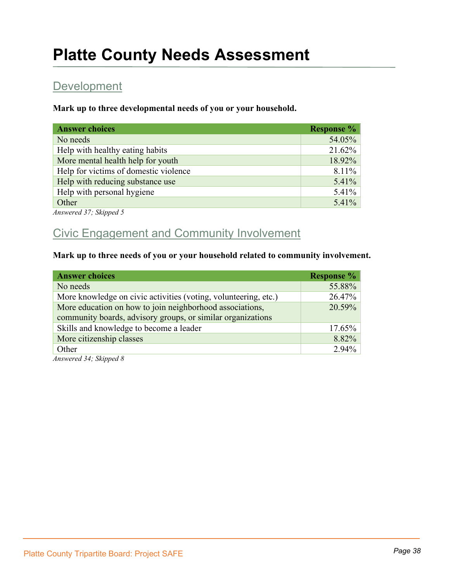### **Development**

**Mark up to three developmental needs of you or your household.**

| <b>Answer choices</b>                 | <b>Response</b> % |
|---------------------------------------|-------------------|
| No needs                              | 54.05%            |
| Help with healthy eating habits       | 21.62%            |
| More mental health help for youth     | 18.92%            |
| Help for victims of domestic violence | 8.11%             |
| Help with reducing substance use      | 5.41%             |
| Help with personal hygiene            | 5.41%             |
| Other                                 | 5.41%             |

*Answered 37; Skipped 5*

### Civic Engagement and Community Involvement

#### **Mark up to three needs of you or your household related to community involvement.**

| <b>Answer choices</b>                                           | <b>Response</b> % |
|-----------------------------------------------------------------|-------------------|
| No needs                                                        | 55.88%            |
| More knowledge on civic activities (voting, volunteering, etc.) | 26.47%            |
| More education on how to join neighborhood associations,        | 20.59%            |
| community boards, advisory groups, or similar organizations     |                   |
| Skills and knowledge to become a leader                         | 17.65%            |
| More citizenship classes                                        | 8.82%             |
| Other                                                           | 2.94%             |
| $1.24$ $01.7$<br>$\overline{1}$ $\overline{0}$                  |                   |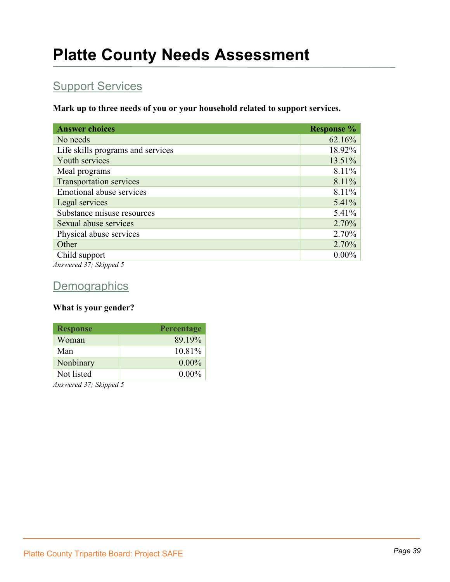### **Support Services**

**Mark up to three needs of you or your household related to support services.**

| <b>Answer choices</b>             | <b>Response</b> % |
|-----------------------------------|-------------------|
| No needs                          | 62.16%            |
| Life skills programs and services | 18.92%            |
| Youth services                    | 13.51%            |
| Meal programs                     | 8.11%             |
| <b>Transportation services</b>    | 8.11%             |
| <b>Emotional abuse services</b>   | 8.11%             |
| Legal services                    | 5.41%             |
| Substance misuse resources        | 5.41%             |
| Sexual abuse services             | 2.70%             |
| Physical abuse services           | 2.70%             |
| Other                             | 2.70%             |
| Child support                     | $0.00\%$          |
| Answered 37; Skipped 5            |                   |

### **Demographics**

#### **What is your gender?**

| <b>Response</b> | <b>Percentage</b> |
|-----------------|-------------------|
| Woman           | 89.19%            |
| Man             | 10.81%            |
| Nonbinary       | $0.00\%$          |
| Not listed      | $0.00\%$          |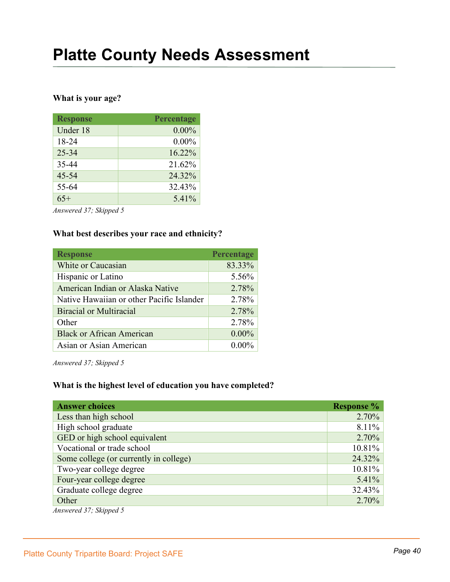#### **What is your age?**

| <b>Response</b> | Percentage |
|-----------------|------------|
| Under 18        | $0.00\%$   |
| 18-24           | $0.00\%$   |
| $25 - 34$       | 16.22%     |
| 35-44           | 21.62%     |
| $45 - 54$       | 24.32%     |
| 55-64           | 32.43%     |
| $65+$           | 5.41%      |

*Answered 37; Skipped 5*

#### **What best describes your race and ethnicity?**

| <b>Response</b>                           | Percentage |
|-------------------------------------------|------------|
| White or Caucasian                        | 83.33%     |
| Hispanic or Latino                        | 5.56%      |
| American Indian or Alaska Native          | 2.78%      |
| Native Hawaiian or other Pacific Islander | 2.78%      |
| Biracial or Multiracial                   | 2.78%      |
| Other                                     | 2.78%      |
| <b>Black or African American</b>          | $0.00\%$   |
| Asian or Asian American                   | $0.00\%$   |

*Answered 37; Skipped 5*

#### **What is the highest level of education you have completed?**

| <b>Response %</b> |
|-------------------|
| $2.70\%$          |
| 8.11%             |
| $2.70\%$          |
| 10.81%            |
| 24.32%            |
| 10.81%            |
| 5.41%             |
| 32.43%            |
| $2.70\%$          |
|                   |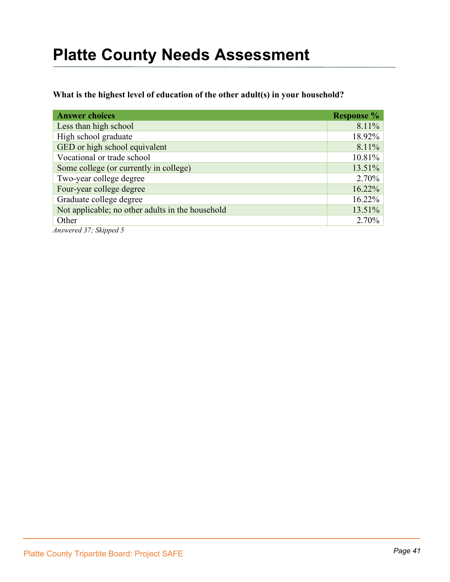#### **What is the highest level of education of the other adult(s) in your household?**

| <b>Answer choices</b>                            | <b>Response</b> % |
|--------------------------------------------------|-------------------|
| Less than high school                            | 8.11%             |
| High school graduate                             | 18.92%            |
| GED or high school equivalent                    | 8.11%             |
| Vocational or trade school                       | 10.81%            |
| Some college (or currently in college)           | 13.51%            |
| Two-year college degree                          | 2.70%             |
| Four-year college degree                         | 16.22%            |
| Graduate college degree                          | 16.22%            |
| Not applicable; no other adults in the household | 13.51%            |
| Other                                            | 2.70%             |